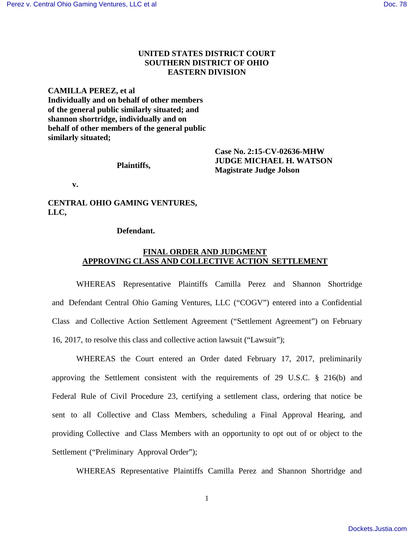## **UNITED STATES DISTRICT COURT SOUTHERN DISTRICT OF OHIO EASTERN DIVISION**

**CAMILLA PEREZ, et al Individually and on behalf of other members of the general public similarly situated; and shannon shortridge, individually and on behalf of other members of the general public similarly situated;**

#### **Plaintiffs,**

**Case No. 2:15-CV-02636-MHW JUDGE MICHAEL H. WATSON Magistrate Judge Jolson** 

 **v.** 

**CENTRAL OHIO GAMING VENTURES, LLC,**

#### **Defendant.**

### **FINAL ORDER AND JUDGMENT APPROVING CLASS AND COLLECTIVE ACTION SETTLEMENT**

WHEREAS Representative Plaintiffs Camilla Perez and Shannon Shortridge and Defendant Central Ohio Gaming Ventures, LLC ("COGV") entered into a Confidential Class and Collective Action Settlement Agreement ("Settlement Agreement") on February 16, 2017, to resolve this class and collective action lawsuit ("Lawsuit");

WHEREAS the Court entered an Order dated February 17, 2017, preliminarily approving the Settlement consistent with the requirements of 29 U.S.C. § 216(b) and Federal Rule of Civil Procedure 23, certifying a settlement class, ordering that notice be sent to all Collective and Class Members, scheduling a Final Approval Hearing, and providing Collective and Class Members with an opportunity to opt out of or object to the Settlement ("Preliminary Approval Order");

WHEREAS Representative Plaintiffs Camilla Perez and Shannon Shortridge and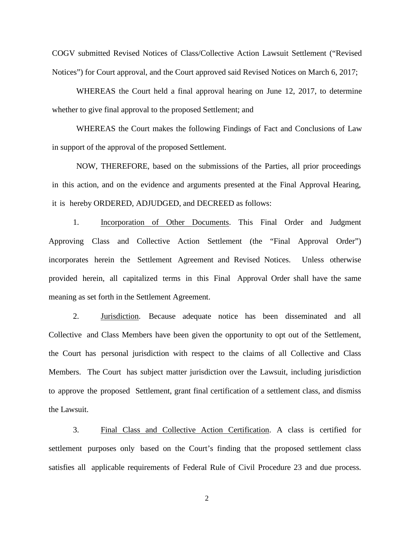COGV submitted Revised Notices of Class/Collective Action Lawsuit Settlement ("Revised Notices") for Court approval, and the Court approved said Revised Notices on March 6, 2017;

WHEREAS the Court held a final approval hearing on June 12, 2017, to determine whether to give final approval to the proposed Settlement; and

WHEREAS the Court makes the following Findings of Fact and Conclusions of Law in support of the approval of the proposed Settlement.

NOW, THEREFORE, based on the submissions of the Parties, all prior proceedings in this action, and on the evidence and arguments presented at the Final Approval Hearing, it is hereby ORDERED, ADJUDGED, and DECREED as follows:

1. Incorporation of Other Documents. This Final Order and Judgment Approving Class and Collective Action Settlement (the "Final Approval Order") incorporates herein the Settlement Agreement and Revised Notices. Unless otherwise provided herein, all capitalized terms in this Final Approval Order shall have the same meaning as set forth in the Settlement Agreement.

2. Jurisdiction. Because adequate notice has been disseminated and all Collective and Class Members have been given the opportunity to opt out of the Settlement, the Court has personal jurisdiction with respect to the claims of all Collective and Class Members. The Court has subject matter jurisdiction over the Lawsuit, including jurisdiction to approve the proposed Settlement, grant final certification of a settlement class, and dismiss the Lawsuit.

3. Final Class and Collective Action Certification. A class is certified for settlement purposes only based on the Court's finding that the proposed settlement class satisfies all applicable requirements of Federal Rule of Civil Procedure 23 and due process.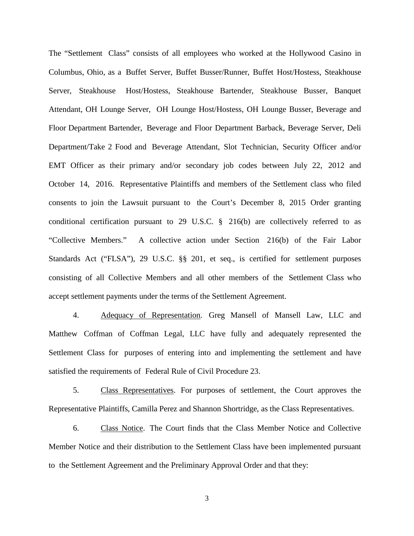The "Settlement Class" consists of all employees who worked at the Hollywood Casino in Columbus, Ohio, as a Buffet Server, Buffet Busser/Runner, Buffet Host/Hostess, Steakhouse Server, Steakhouse Host/Hostess, Steakhouse Bartender, Steakhouse Busser, Banquet Attendant, OH Lounge Server, OH Lounge Host/Hostess, OH Lounge Busser, Beverage and Floor Department Bartender, Beverage and Floor Department Barback, Beverage Server, Deli Department/Take 2 Food and Beverage Attendant, Slot Technician, Security Officer and/or EMT Officer as their primary and/or secondary job codes between July 22, 2012 and October 14, 2016. Representative Plaintiffs and members of the Settlement class who filed consents to join the Lawsuit pursuant to the Court's December 8, 2015 Order granting conditional certification pursuant to 29 U.S.C. § 216(b) are collectively referred to as "Collective Members." A collective action under Section 216(b) of the Fair Labor Standards Act ("FLSA"), 29 U.S.C. §§ 201, et seq., is certified for settlement purposes consisting of all Collective Members and all other members of the Settlement Class who accept settlement payments under the terms of the Settlement Agreement.

4. Adequacy of Representation. Greg Mansell of Mansell Law, LLC and Matthew Coffman of Coffman Legal, LLC have fully and adequately represented the Settlement Class for purposes of entering into and implementing the settlement and have satisfied the requirements of Federal Rule of Civil Procedure 23.

5. Class Representatives. For purposes of settlement, the Court approves the Representative Plaintiffs, Camilla Perez and Shannon Shortridge, as the Class Representatives.

6. Class Notice. The Court finds that the Class Member Notice and Collective Member Notice and their distribution to the Settlement Class have been implemented pursuant to the Settlement Agreement and the Preliminary Approval Order and that they: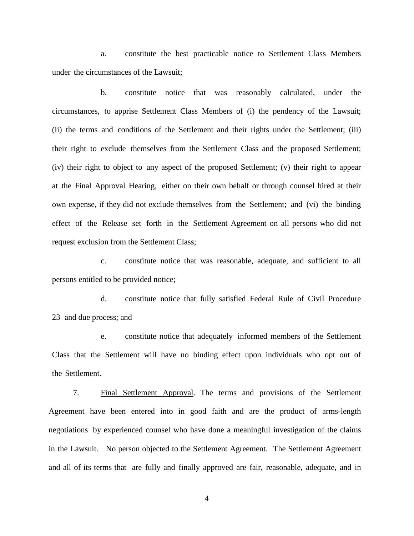a. constitute the best practicable notice to Settlement Class Members under the circumstances of the Lawsuit;

b. constitute notice that was reasonably calculated, under the circumstances, to apprise Settlement Class Members of (i) the pendency of the Lawsuit; (ii) the terms and conditions of the Settlement and their rights under the Settlement; (iii) their right to exclude themselves from the Settlement Class and the proposed Settlement; (iv) their right to object to any aspect of the proposed Settlement; (v) their right to appear at the Final Approval Hearing, either on their own behalf or through counsel hired at their own expense, if they did not exclude themselves from the Settlement; and (vi) the binding effect of the Release set forth in the Settlement Agreement on all persons who did not request exclusion from the Settlement Class;

c. constitute notice that was reasonable, adequate, and sufficient to all persons entitled to be provided notice;

d. constitute notice that fully satisfied Federal Rule of Civil Procedure 23 and due process; and

e. constitute notice that adequately informed members of the Settlement Class that the Settlement will have no binding effect upon individuals who opt out of the Settlement.

7. Final Settlement Approval. The terms and provisions of the Settlement Agreement have been entered into in good faith and are the product of arms-length negotiations by experienced counsel who have done a meaningful investigation of the claims in the Lawsuit. No person objected to the Settlement Agreement. The Settlement Agreement and all of its terms that are fully and finally approved are fair, reasonable, adequate, and in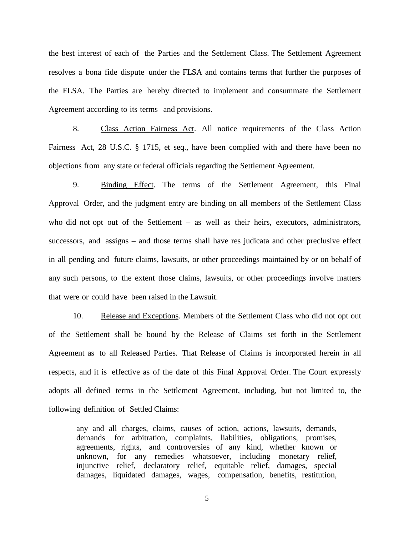the best interest of each of the Parties and the Settlement Class. The Settlement Agreement resolves a bona fide dispute under the FLSA and contains terms that further the purposes of the FLSA. The Parties are hereby directed to implement and consummate the Settlement Agreement according to its terms and provisions.

8. Class Action Fairness Act. All notice requirements of the Class Action Fairness Act, 28 U.S.C. § 1715, et seq., have been complied with and there have been no objections from any state or federal officials regarding the Settlement Agreement.

9. Binding Effect. The terms of the Settlement Agreement, this Final Approval Order, and the judgment entry are binding on all members of the Settlement Class who did not opt out of the Settlement – as well as their heirs, executors, administrators, successors, and assigns – and those terms shall have res judicata and other preclusive effect in all pending and future claims, lawsuits, or other proceedings maintained by or on behalf of any such persons, to the extent those claims, lawsuits, or other proceedings involve matters that were or could have been raised in the Lawsuit.

10. Release and Exceptions. Members of the Settlement Class who did not opt out of the Settlement shall be bound by the Release of Claims set forth in the Settlement Agreement as to all Released Parties. That Release of Claims is incorporated herein in all respects, and it is effective as of the date of this Final Approval Order. The Court expressly adopts all defined terms in the Settlement Agreement, including, but not limited to, the following definition of Settled Claims:

any and all charges, claims, causes of action, actions, lawsuits, demands, demands for arbitration, complaints, liabilities, obligations, promises, agreements, rights, and controversies of any kind, whether known or unknown, for any remedies whatsoever, including monetary relief, injunctive relief, declaratory relief, equitable relief, damages, special damages, liquidated damages, wages, compensation, benefits, restitution,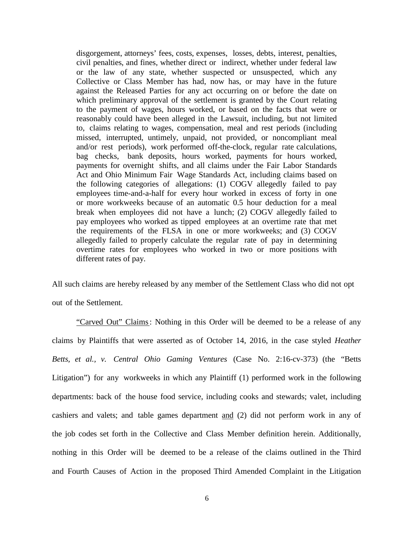disgorgement, attorneys' fees, costs, expenses, losses, debts, interest, penalties, civil penalties, and fines, whether direct or indirect, whether under federal law or the law of any state, whether suspected or unsuspected, which any Collective or Class Member has had, now has, or may have in the future against the Released Parties for any act occurring on or before the date on which preliminary approval of the settlement is granted by the Court relating to the payment of wages, hours worked, or based on the facts that were or reasonably could have been alleged in the Lawsuit, including, but not limited to, claims relating to wages, compensation, meal and rest periods (including missed, interrupted, untimely, unpaid, not provided, or noncompliant meal and/or rest periods), work performed off-the-clock, regular rate calculations, bag checks, bank deposits, hours worked, payments for hours worked, payments for overnight shifts, and all claims under the Fair Labor Standards Act and Ohio Minimum Fair Wage Standards Act, including claims based on the following categories of allegations: (1) COGV allegedly failed to pay employees time-and-a-half for every hour worked in excess of forty in one or more workweeks because of an automatic 0.5 hour deduction for a meal break when employees did not have a lunch; (2) COGV allegedly failed to pay employees who worked as tipped employees at an overtime rate that met the requirements of the FLSA in one or more workweeks; and (3) COGV allegedly failed to properly calculate the regular rate of pay in determining overtime rates for employees who worked in two or more positions with different rates of pay.

All such claims are hereby released by any member of the Settlement Class who did not opt out of the Settlement.

"Carved Out" Claims: Nothing in this Order will be deemed to be a release of any claims by Plaintiffs that were asserted as of October 14, 2016, in the case styled *Heather Betts, et al., v. Central Ohio Gaming Ventures* (Case No. 2:16-cv-373) (the "Betts Litigation") for any workweeks in which any Plaintiff (1) performed work in the following departments: back of the house food service, including cooks and stewards; valet, including cashiers and valets; and table games department and (2) did not perform work in any of the job codes set forth in the Collective and Class Member definition herein. Additionally, nothing in this Order will be deemed to be a release of the claims outlined in the Third and Fourth Causes of Action in the proposed Third Amended Complaint in the Litigation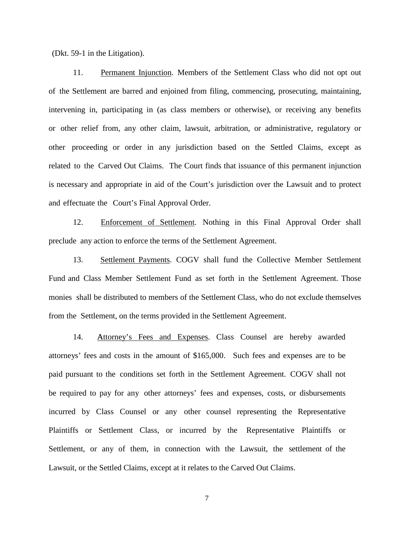(Dkt. 59-1 in the Litigation).

11. Permanent Injunction. Members of the Settlement Class who did not opt out of the Settlement are barred and enjoined from filing, commencing, prosecuting, maintaining, intervening in, participating in (as class members or otherwise), or receiving any benefits or other relief from, any other claim, lawsuit, arbitration, or administrative, regulatory or other proceeding or order in any jurisdiction based on the Settled Claims, except as related to the Carved Out Claims. The Court finds that issuance of this permanent injunction is necessary and appropriate in aid of the Court's jurisdiction over the Lawsuit and to protect and effectuate the Court's Final Approval Order.

12. Enforcement of Settlement. Nothing in this Final Approval Order shall preclude any action to enforce the terms of the Settlement Agreement.

13. Settlement Payments. COGV shall fund the Collective Member Settlement Fund and Class Member Settlement Fund as set forth in the Settlement Agreement. Those monies shall be distributed to members of the Settlement Class, who do not exclude themselves from the Settlement, on the terms provided in the Settlement Agreement.

14. Attorney's Fees and Expenses. Class Counsel are hereby awarded attorneys' fees and costs in the amount of \$165,000. Such fees and expenses are to be paid pursuant to the conditions set forth in the Settlement Agreement. COGV shall not be required to pay for any other attorneys' fees and expenses, costs, or disbursements incurred by Class Counsel or any other counsel representing the Representative Plaintiffs or Settlement Class, or incurred by the Representative Plaintiffs or Settlement, or any of them, in connection with the Lawsuit, the settlement of the Lawsuit, or the Settled Claims, except at it relates to the Carved Out Claims.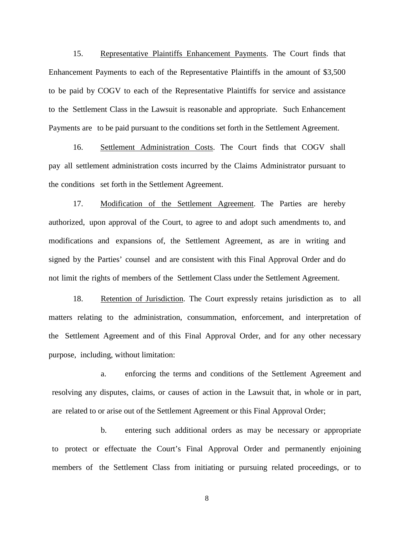15. Representative Plaintiffs Enhancement Payments. The Court finds that Enhancement Payments to each of the Representative Plaintiffs in the amount of \$3,500 to be paid by COGV to each of the Representative Plaintiffs for service and assistance to the Settlement Class in the Lawsuit is reasonable and appropriate. Such Enhancement Payments are to be paid pursuant to the conditions set forth in the Settlement Agreement.

16. Settlement Administration Costs. The Court finds that COGV shall pay all settlement administration costs incurred by the Claims Administrator pursuant to the conditions set forth in the Settlement Agreement.

17. Modification of the Settlement Agreement. The Parties are hereby authorized, upon approval of the Court, to agree to and adopt such amendments to, and modifications and expansions of, the Settlement Agreement, as are in writing and signed by the Parties' counsel and are consistent with this Final Approval Order and do not limit the rights of members of the Settlement Class under the Settlement Agreement.

18. Retention of Jurisdiction. The Court expressly retains jurisdiction as to all matters relating to the administration, consummation, enforcement, and interpretation of the Settlement Agreement and of this Final Approval Order, and for any other necessary purpose, including, without limitation:

a. enforcing the terms and conditions of the Settlement Agreement and resolving any disputes, claims, or causes of action in the Lawsuit that, in whole or in part, are related to or arise out of the Settlement Agreement or this Final Approval Order;

b. entering such additional orders as may be necessary or appropriate to protect or effectuate the Court's Final Approval Order and permanently enjoining members of the Settlement Class from initiating or pursuing related proceedings, or to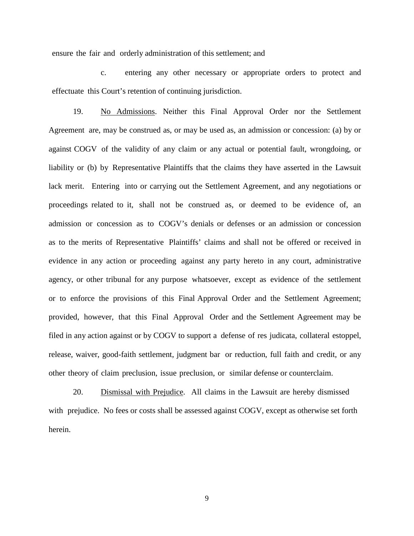ensure the fair and orderly administration of this settlement; and

c. entering any other necessary or appropriate orders to protect and effectuate this Court's retention of continuing jurisdiction.

19. No Admissions. Neither this Final Approval Order nor the Settlement Agreement are, may be construed as, or may be used as, an admission or concession: (a) by or against COGV of the validity of any claim or any actual or potential fault, wrongdoing, or liability or (b) by Representative Plaintiffs that the claims they have asserted in the Lawsuit lack merit. Entering into or carrying out the Settlement Agreement, and any negotiations or proceedings related to it, shall not be construed as, or deemed to be evidence of, an admission or concession as to COGV's denials or defenses or an admission or concession as to the merits of Representative Plaintiffs' claims and shall not be offered or received in evidence in any action or proceeding against any party hereto in any court, administrative agency, or other tribunal for any purpose whatsoever, except as evidence of the settlement or to enforce the provisions of this Final Approval Order and the Settlement Agreement; provided, however, that this Final Approval Order and the Settlement Agreement may be filed in any action against or by COGV to support a defense of res judicata, collateral estoppel, release, waiver, good-faith settlement, judgment bar or reduction, full faith and credit, or any other theory of claim preclusion, issue preclusion, or similar defense or counterclaim.

20. Dismissal with Prejudice. All claims in the Lawsuit are hereby dismissed with prejudice. No fees or costs shall be assessed against COGV, except as otherwise set forth herein.